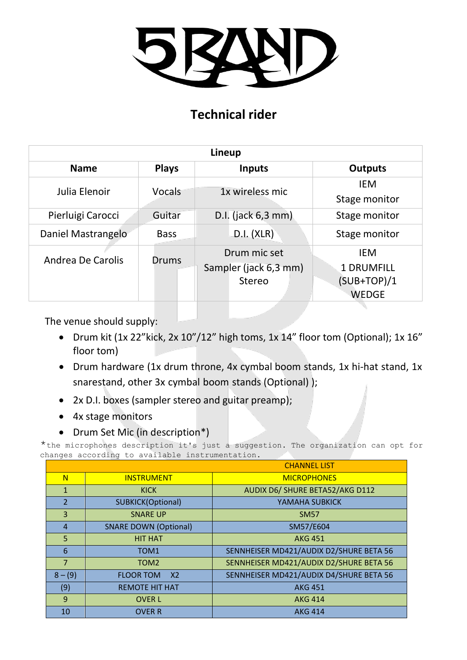

## **Technical rider**

| Lineup             |              |                       |                   |  |
|--------------------|--------------|-----------------------|-------------------|--|
| <b>Name</b>        | <b>Plays</b> | <b>Inputs</b>         | <b>Outputs</b>    |  |
| Julia Elenoir      | Vocals       | 1x wireless mic       | <b>IEM</b>        |  |
|                    |              |                       | Stage monitor     |  |
| Pierluigi Carocci  | Guitar       | D.I. (jack 6,3 mm)    | Stage monitor     |  |
| Daniel Mastrangelo | <b>Bass</b>  | D.I. (XLR)            | Stage monitor     |  |
| Andrea De Carolis  | Drums        | Drum mic set          | <b>IEM</b>        |  |
|                    |              | Sampler (jack 6,3 mm) | <b>1 DRUMFILL</b> |  |
|                    |              | Stereo                | $(SUB+TOP)/1$     |  |
|                    |              |                       | <b>WEDGE</b>      |  |

The venue should supply:

- Drum kit (1x 22"kick, 2x 10"/12" high toms, 1x 14" floor tom (Optional); 1x 16" floor tom)
- Drum hardware (1x drum throne, 4x cymbal boom stands, 1x hi-hat stand, 1x snarestand, other 3x cymbal boom stands (Optional) );
- 2x D.I. boxes (sampler stereo and guitar preamp);
- 4x stage monitors
- Drum Set Mic (in description\*)

\*the microphones description it's just a suggestion. The organization can opt for changes according to available instrumentation.

|                |                                    | <b>CHANNEL LIST</b>                     |  |
|----------------|------------------------------------|-----------------------------------------|--|
| N              | <b>INSTRUMENT</b>                  | <b>MICROPHONES</b>                      |  |
| $\mathbf{1}$   | <b>KICK</b>                        | AUDIX D6/ SHURE BETA52/AKG D112         |  |
| $\overline{2}$ | <b>SUBKICK(Optional)</b>           | YAMAHA SUBKICK                          |  |
| 3              | <b>SNARE UP</b>                    | <b>SM57</b>                             |  |
| 4              | <b>SNARE DOWN (Optional)</b>       | SM57/E604                               |  |
| 5              | <b>HIT HAT</b>                     | <b>AKG 451</b>                          |  |
| 6              | TOM <sub>1</sub>                   | SENNHEISER MD421/AUDIX D2/SHURE BETA 56 |  |
| $\overline{7}$ | TOM <sub>2</sub>                   | SENNHEISER MD421/AUDIX D2/SHURE BETA 56 |  |
| $8 - (9)$      | <b>FLOOR TOM</b><br>X <sub>2</sub> | SENNHEISER MD421/AUDIX D4/SHURE BETA 56 |  |
| (9)            | <b>REMOTE HIT HAT</b>              | <b>AKG 451</b>                          |  |
| 9              | <b>OVER L</b>                      | <b>AKG 414</b>                          |  |
| 10             | <b>OVER R</b>                      | <b>AKG 414</b>                          |  |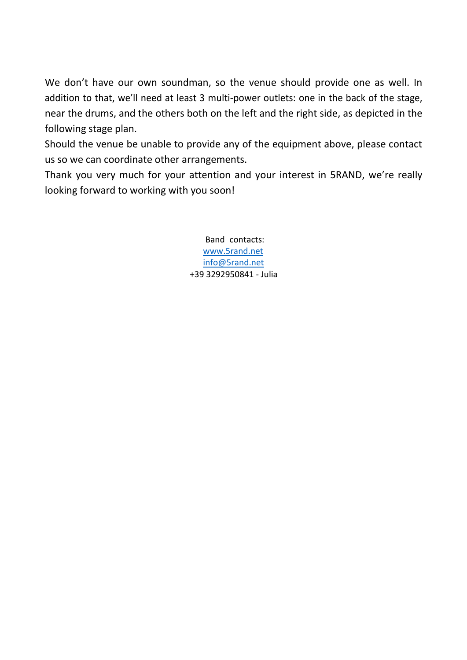We don't have our own soundman, so the venue should provide one as well. In addition to that, we'll need at least 3 multi-power outlets: one in the back of the stage, near the drums, and the others both on the left and the right side, as depicted in the following stage plan.

Should the venue be unable to provide any of the equipment above, please contact us so we can coordinate other arrangements.

Thank you very much for your attention and your interest in 5RAND, we're really looking forward to working with you soon!

> Band contacts: [www.5rand.net](http://www.5rand.net/) [info@5rand.net](mailto:info@5rand.net) +39 3292950841 - Julia